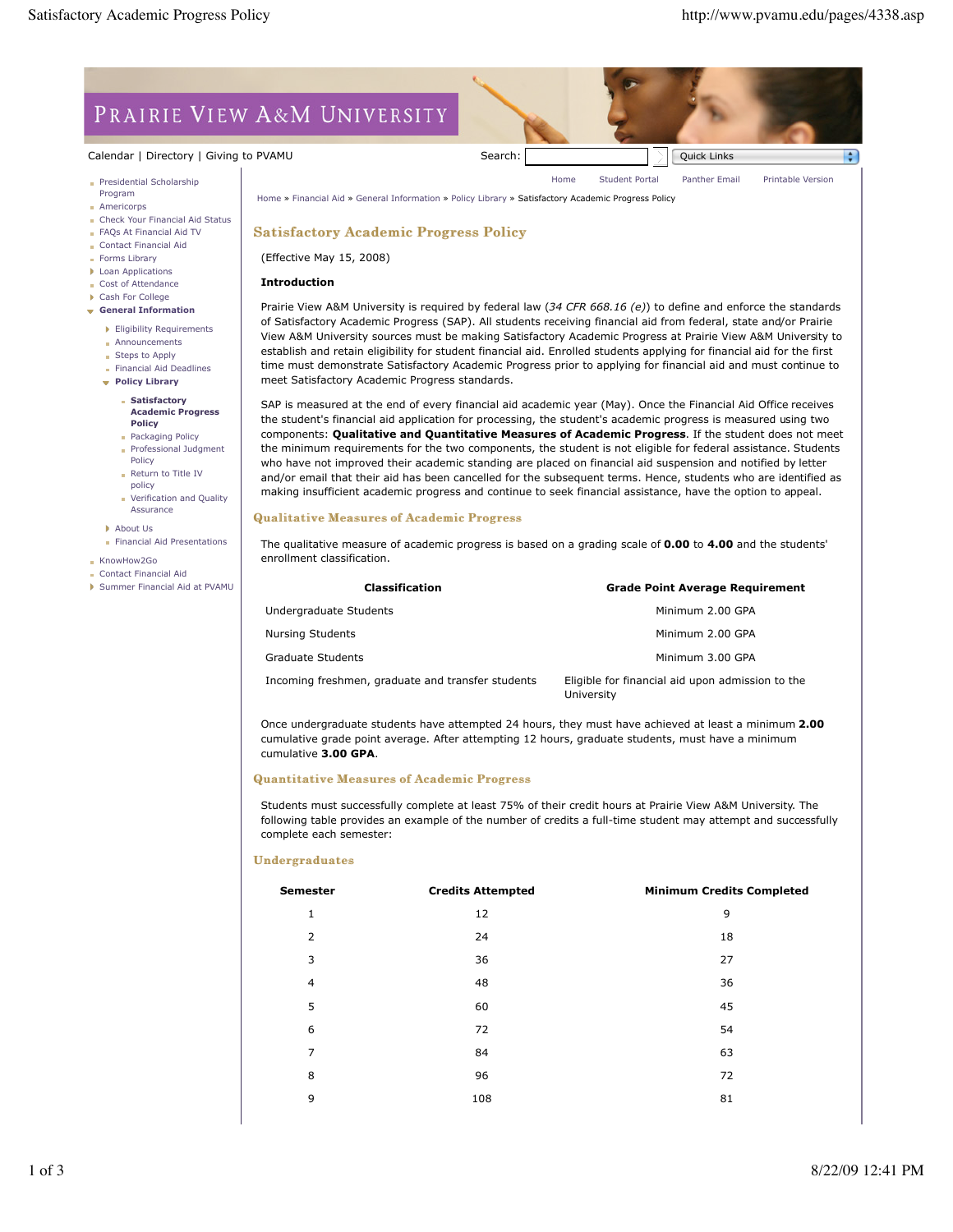÷

Home Student Portal Panther Email Printable Version

# PRAIRIE VIEW A&M UNIVERSITY

# Calendar | Directory | Giving to PVAMU Search: Search: Search: Quick Links Quick Links

- **Presidential Scholarship** Program
- **Americorps**
- Check Your Financial Aid Status
- **FAOs At Financial Aid TV**
- Contact Financial Aid
- Forms Library **Loan Applications**
- Cost of Attendance
- Cash For College
- **General Information**
	- **Eligibility Requirements**
	- **Announcements**
	- Steps to Apply
	- **Financial Aid Deadlines**
	- **Policy Library**

#### **Satisfactory Academic Progress Policy**

- **Packaging Policy Professional Judgment**
- Policy
- Return to Title IV policy
- **Verification and Quality** Assurance
- About Us
- Financial Aid Presentations
- **KnowHow2Go**
- Contact Financial Aid
- Summer Financial Aid at PVAMU

## Home » Financial Aid » General Information » Policy Library » Satisfactory Academic Progress Policy

## Satisfactory Academic Progress Policy

(Effective May 15, 2008)

#### **Introduction**

Prairie View A&M University is required by federal law (*34 CFR 668.16 (e)*) to define and enforce the standards of Satisfactory Academic Progress (SAP). All students receiving financial aid from federal, state and/or Prairie View A&M University sources must be making Satisfactory Academic Progress at Prairie View A&M University to establish and retain eligibility for student financial aid. Enrolled students applying for financial aid for the first time must demonstrate Satisfactory Academic Progress prior to applying for financial aid and must continue to meet Satisfactory Academic Progress standards.

SAP is measured at the end of every financial aid academic year (May). Once the Financial Aid Office receives the student's financial aid application for processing, the student's academic progress is measured using two components: **Qualitative and Quantitative Measures of Academic Progress**. If the student does not meet the minimum requirements for the two components, the student is not eligible for federal assistance. Students who have not improved their academic standing are placed on financial aid suspension and notified by letter and/or email that their aid has been cancelled for the subsequent terms. Hence, students who are identified as making insufficient academic progress and continue to seek financial assistance, have the option to appeal.

### **Qualitative Measures of Academic Progress**

The qualitative measure of academic progress is based on a grading scale of **0.00** to **4.00** and the students' enrollment classification.

| <b>Classification</b>                             | <b>Grade Point Average Requirement</b>                         |  |
|---------------------------------------------------|----------------------------------------------------------------|--|
| Undergraduate Students                            | Minimum 2.00 GPA                                               |  |
| <b>Nursing Students</b>                           | Minimum 2.00 GPA                                               |  |
| Graduate Students                                 | Minimum 3.00 GPA                                               |  |
| Incoming freshmen, graduate and transfer students | Eligible for financial aid upon admission to the<br>University |  |

Once undergraduate students have attempted 24 hours, they must have achieved at least a minimum **2.00** cumulative grade point average. After attempting 12 hours, graduate students, must have a minimum cumulative **3.00 GPA**.

### Quantitative Measures of Academic Progress

Students must successfully complete at least 75% of their credit hours at Prairie View A&M University. The following table provides an example of the number of credits a full-time student may attempt and successfully complete each semester:

### Undergraduates

| <b>Semester</b> | <b>Credits Attempted</b> | <b>Minimum Credits Completed</b> |
|-----------------|--------------------------|----------------------------------|
| 1               | 12                       | 9                                |
| 2               | 24                       | 18                               |
| 3               | 36                       | 27                               |
| 4               | 48                       | 36                               |
| 5               | 60                       | 45                               |
| 6               | 72                       | 54                               |
| 7               | 84                       | 63                               |
| 8               | 96                       | 72                               |
| 9               | 108                      | 81                               |
|                 |                          |                                  |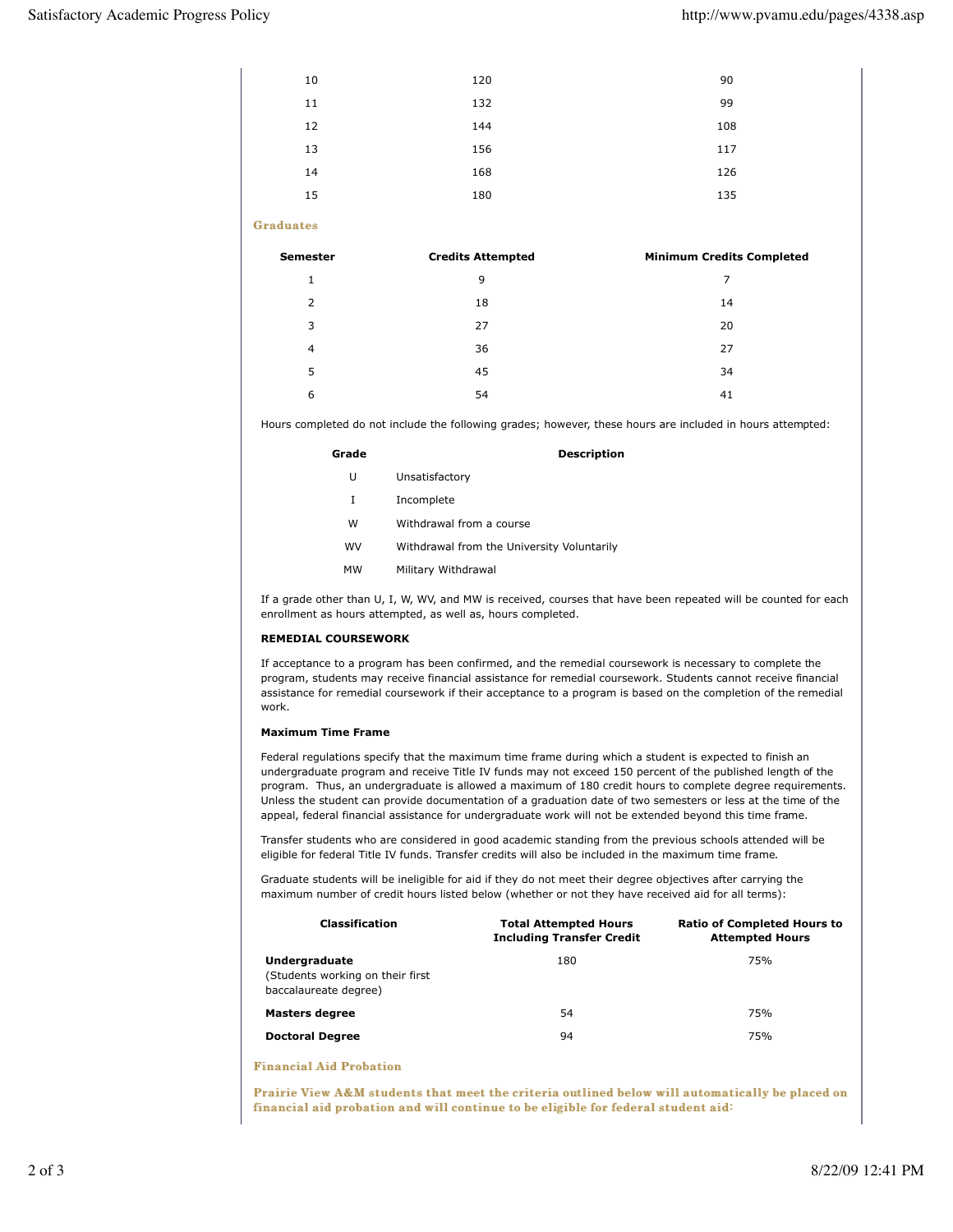| <b>Semester</b>  | <b>Credits Attempted</b> | <b>Minimum Credits Completed</b> |
|------------------|--------------------------|----------------------------------|
| <b>Graduates</b> |                          |                                  |
| 15               | 180                      | 135                              |
| 14               | 168                      | 126                              |
| 13               | 156                      | 117                              |
| 12               | 144                      | 108                              |
| 11               | 132                      | 99                               |
| 10               | 120                      | 90                               |

| $\mathbf{1}$   | 9  | $\overline{7}$ |
|----------------|----|----------------|
| 2              | 18 | 14             |
| 3              | 27 | 20             |
| $\overline{4}$ | 36 | 27             |
| 5              | 45 | 34             |
| 6              | 54 | 41             |

Hours completed do not include the following grades; however, these hours are included in hours attempted:

| Grade | <b>Description</b>                         |
|-------|--------------------------------------------|
| U     | Unsatisfactory                             |
| I     | Incomplete                                 |
| w     | Withdrawal from a course                   |
| wv    | Withdrawal from the University Voluntarily |
| мw    | Military Withdrawal                        |

If a grade other than U, I, W, WV, and MW is received, courses that have been repeated will be counted for each enrollment as hours attempted, as well as, hours completed.

# **REMEDIAL COURSEWORK**

If acceptance to a program has been confirmed, and the remedial coursework is necessary to complete the program, students may receive financial assistance for remedial coursework. Students cannot receive financial assistance for remedial coursework if their acceptance to a program is based on the completion of the remedial work

# **Maximum Time Frame**

Federal regulations specify that the maximum time frame during which a student is expected to finish an undergraduate program and receive Title IV funds may not exceed 150 percent of the published length of the program. Thus, an undergraduate is allowed a maximum of 180 credit hours to complete degree requirements. Unless the student can provide documentation of a graduation date of two semesters or less at the time of the appeal, federal financial assistance for undergraduate work will not be extended beyond this time frame.

Transfer students who are considered in good academic standing from the previous schools attended will be eligible for federal Title IV funds. Transfer credits will also be included in the maximum time frame.

Graduate students will be ineligible for aid if they do not meet their degree objectives after carrying the maximum number of credit hours listed below (whether or not they have received aid for all terms):

| <b>Classification</b>                                                       | <b>Total Attempted Hours</b><br><b>Including Transfer Credit</b> | <b>Ratio of Completed Hours to</b><br><b>Attempted Hours</b> |
|-----------------------------------------------------------------------------|------------------------------------------------------------------|--------------------------------------------------------------|
| Undergraduate<br>(Students working on their first)<br>baccalaureate degree) | 180                                                              | 75%                                                          |
| <b>Masters degree</b>                                                       | 54                                                               | 75%                                                          |
| <b>Doctoral Degree</b>                                                      | 94                                                               | 75%                                                          |

**Financial Aid Probation** 

Prairie View A&M students that meet the criteria outlined below will automatically be placed on financial aid probation and will continue to be eligible for federal student aid: